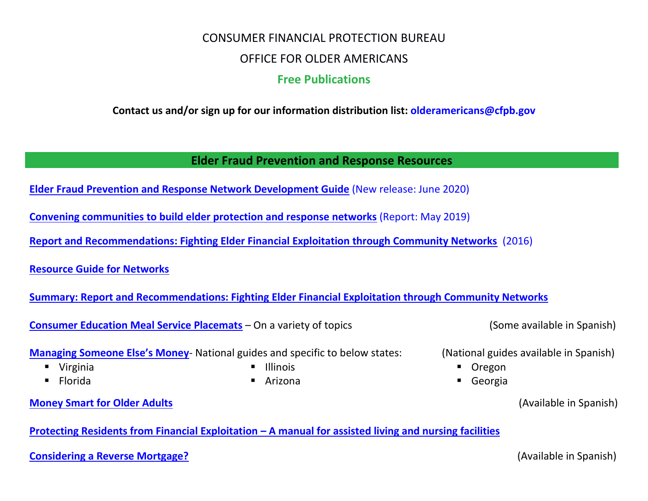# CONSUMER FINANCIAL PROTECTION BUREAU OFFICE FOR OLDER AMERICANS **Free Publications**

**Contact us and/or sign up for our information distribution list: [olderamericans@cfpb.gov](mailto:olderamericans@cfpb.gov)**

**Elder Fraud Prevention and Response Resources**

**[Elder Fraud Prevention and Response Network Development Guide](https://www.consumerfinance.gov/practitioner-resources/resources-for-older-adults/elder-protection-networks/)** (New release: June 2020)

**[Convening communities to build elder protection and response networks](https://www.consumerfinance.gov/data-research/research-reports/convening-communities-build-elder-fraud-prevention-and-response-networks/)** (Report: May 2019)

**[Report and Recommendations: Fighting Elder Financial Exploitation through Community Networks](https://www.consumerfinance.gov/data-research/research-reports/report-and-recommendations-fighting-elder-financial-exploitation-through-community-networks/)** (2016)

**[Resource Guide for Networks](https://files.consumerfinance.gov/f/documents/bcfp_fighting-elder-financial-exploitation_community-networks_resource-guide.pdf)**

**[Summary: Report and Recommendations: Fighting Elder Financial Exploitation through Community Networks](https://files.consumerfinance.gov/f/documents/bcfp_fighting-elder-financial-exploitation_community-networks_report-summary.pdf)**

**[Consumer Education Meal Service Placemats](https://www.consumerfinance.gov/practitioner-resources/resources-for-older-adults/financial-education-placemats/)** – On a variety of topics (Some available in Spanish)

**[Managing Someone Else's Money](https://www.consumerfinance.gov/consumer-tools/managing-someone-elses-money/)**- National guides and specific to below states: (National guides available in Spanish)

- Virginia
- Florida

**[Money Smart for Older Adults](https://www.consumerfinance.gov/about-us/blog/latest-version-money-smart-older-adults-now-available-spanish/)** (Available in Spanish)

**Protecting Residents from Financial Exploitation – [A manual for assisted living and nursing facilities](https://www.consumerfinance.gov/about-us/blog/were-helping-long-term-care-facilities-protect-older-americans-from-financial-exploitation/)**

#### **[Considering a Reverse Mortgage?](https://pueblo.gpo.gov/CFPBPubs/CFPBPubs.php?PubID=13003) Considering a Reverse Mortgage? Considering a Reverse Mortgage? (Available in Spanish)**

- Illinois
- Arizona

- 
- Oregon
- Georgia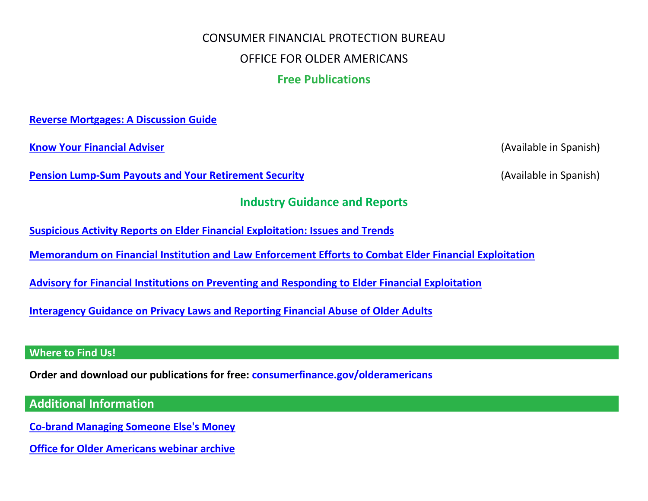# CONSUMER FINANCIAL PROTECTION BUREAU

### OFFICE FOR OLDER AMERICANS

# **Free Publications**

**[Reverse Mortgages: A Discussion Guide](https://pueblo.gpo.gov/CFPBPubs/CFPBPubs.php?PubID=13322)**

**[Know Your Financial Adviser](https://www.consumerfinance.gov/about-us/blog/know-your-financial-adviser/)** (Available in Spanish)

**[Pension Lump-Sum Payouts and Your Retirement Security](https://www.consumerfinance.gov/about-us/blog/key-tips-to-consider-if-choosing-a-lump-sum-pension-payout/)** (Available in Spanish)

### **Industry Guidance and Reports**

**[Suspicious Activity Reports on Elder Financial Exploitation: Issues and Trends](https://www.consumerfinance.gov/about-us/blog/financial-institutions-report-widespread-elder-financial-abuse/?utm_source=newsletter&utm_term=20190227OAnewsltr)**

**[Memorandum on Financial Institution and Law Enforcement Efforts to Combat Elder Financial Exploitation](https://www.consumerfinance.gov/policy-compliance/guidance/implementation-guidance/memorandum-financial-institution-and-law-enforcement-efforts-combat-elder-financial-exploitation/)**

**[Advisory for Financial Institutions on Preventing and Responding to Elder Financial Exploitation](https://files.consumerfinance.gov/f/201603_cfpb_advisory-for-financial-institutions-on-preventing-and-responding-to-elder-financial-exploitation.pdf)**

**[Interagency Guidance on Privacy Laws and Reporting Financial Abuse of Older Adults](https://files.consumerfinance.gov/f/201309_cfpb_elder-abuse-guidance.pdf)**

#### **Where to Find Us!**

**Order and download our publications for free: [consumerfinance.gov/olderamericans](file:///C:/Users/BluntS/AppData/Local/Microsoft/Windows/Temporary%20Internet%20Files/Content.Outlook/T9OBVCLO/consumerfinance.gov/older-americans)**

## **Additional Information**

**[Co-brand Managing Someone Else's Money](https://www.consumerfinance.gov/practitioner-resources/resources-for-older-adults/co-brand-managing-someone-elses-money/)**

**[Office for Older Americans webinar archive](https://www.consumerfinance.gov/practitioner-resources/resources-for-older-adults/webinar-archive/)**